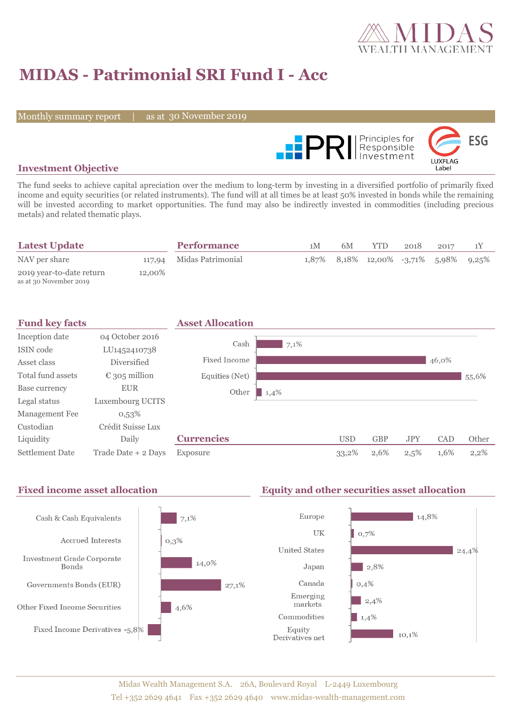

# **MIDAS - Patrimonial SRI Fund I - Acc**

Monthly summary report

as at 30 November 2019



### **Investment Objective**

The fund seeks to achieve capital apreciation over the medium to long-term by investing in a diversified portfolio of primarily fixed income and equity securities (or related instruments). The fund will at all times be at least 50% invested in bonds while the remaining will be invested according to market opportunities. The fund may also be indirectly invested in commodities (including precious metals) and related thematic plays.

| <b>Latest Update</b>                               |        | <b>Performance</b>       | 1 <sub>M</sub> | 6M | YTD.                                          | 2018 | 2017 |  |
|----------------------------------------------------|--------|--------------------------|----------------|----|-----------------------------------------------|------|------|--|
| NAV per share                                      |        | 117,94 Midas Patrimonial |                |    | $1,87\%$ 8,18\% 12,00\% -3,71\% 5,98\% 9,25\% |      |      |  |
| 2019 year-to-date return<br>as at 30 November 2019 | 12,00% |                          |                |    |                                               |      |      |  |

| <b>Fund key facts</b>  |                        | <b>Asset Allocation</b> |      |            |            |            |       |         |
|------------------------|------------------------|-------------------------|------|------------|------------|------------|-------|---------|
| Inception date         | 04 October 2016        |                         |      |            |            |            |       |         |
| ISIN code              | LU1452410738           | Cash                    | 7,1% |            |            |            |       |         |
| Asset class            | Diversified            | Fixed Income            |      |            |            |            | 46,0% |         |
| Total fund assets      | $\epsilon$ 305 million | Equities (Net)          |      |            |            |            |       | 55,6%   |
| Base currency          | <b>EUR</b>             | Other<br>1,4%           |      |            |            |            |       |         |
| Legal status           | Luxembourg UCITS       |                         |      |            |            |            |       |         |
| Management Fee         | $0,53\%$               |                         |      |            |            |            |       |         |
| Custodian              | Crédit Suisse Lux      |                         |      |            |            |            |       |         |
| Liquidity              | Daily                  | <b>Currencies</b>       |      | <b>USD</b> | <b>GBP</b> | <b>JPY</b> | CAD   | Other   |
| <b>Settlement Date</b> | Trade Date + 2 Days    | Exposure                |      | 33,2%      | 2,6%       | 2,5%       | 1,6%  | $2,2\%$ |

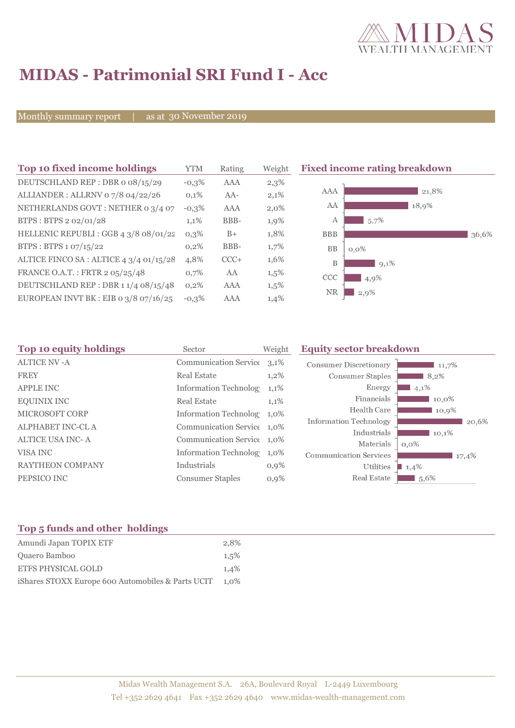

# **MIDAS - Patrimonial SRI Fund I - Acc**

Monthly summary report

as at 30 November 2019

| Top 10 fixed income holdings            | YTM     | Rating | Weigh   |
|-----------------------------------------|---------|--------|---------|
| DEUTSCHLAND REP: DBR o 08/15/29         | $-0,3%$ | AAA    | 2,3%    |
| ALLIANDER: ALLRNV 07/8 04/22/26         | 0,1%    | $AA-$  | 2,1%    |
| NETHERLANDS GOVT: NETHER 0 3/4 07       | $-0,3%$ | AAA    | $2,0\%$ |
| BTPS: BTPS 2 02/01/28                   | 1,1%    | BBB-   | 1,9%    |
| HELLENIC REPUBLI : GGB 4 3/8 08/01/22   | $0.3\%$ | $B+$   | 1,8%    |
| BTPS: BTPS 1 07/15/22                   | 0,2%    | BBB-   | 1,7%    |
| ALTICE FINCO SA : ALTICE 4 3/4 01/15/28 | 4,8%    | $CCC+$ | 1,6%    |
| FRANCE O.A.T.: FRTR 2 05/25/48          | 0.7%    | AA     | 1,5%    |
| DEUTSCHLAND REP : DBR 1 1/4 08/15/48    | 0,2%    | AAA    | 1,5%    |
| EUROPEAN INVT BK : EIB o 3/8 07/16/25   | $-0.3%$ | AAA    | 1,4%    |



| Top 10 equity holdings  | Sector                       | Weight  | <b>Equity sector breakdown</b> |                  |  |
|-------------------------|------------------------------|---------|--------------------------------|------------------|--|
| <b>ALTICE NV-A</b>      | Communication Service 3,1%   |         | <b>Consumer Discretionary</b>  | 11,7%            |  |
| <b>FREY</b>             | <b>Real Estate</b>           | $1,2\%$ | Consumer Staples               | 8,2%             |  |
| <b>APPLE INC</b>        | <b>Information Technolog</b> | $1,1\%$ | Energy                         | 4,1%             |  |
| <b>EQUINIX INC</b>      | <b>Real Estate</b>           | 1,1%    | Financials                     | 10,0%            |  |
| MICROSOFT CORP          | Information Technolog 1,0%   |         | Health Care                    | 10,9%            |  |
| <b>ALPHABET INC-CLA</b> | Communication Service 1,0%   |         | Information Technology         | 20,6%            |  |
| <b>ALTICE USA INC-A</b> | Communication Service 1,0%   |         | Industrials<br>Materials       | 10,1%            |  |
| VISA INC                | Information Technolog        | $1,0\%$ | <b>Communication Services</b>  | $0,0\%$<br>17,4% |  |
| RAYTHEON COMPANY        | Industrials                  | $0,9\%$ | Utilities                      | 1,4%             |  |
| PEPSICO INC             | <b>Consumer Staples</b>      | $0,9\%$ | Real Estate                    | 1,5,6%           |  |
|                         |                              |         |                                |                  |  |

## **Top 5 funds and other holdings**

| Amundi Japan TOPIX ETF                            | 2.8%    |
|---------------------------------------------------|---------|
| Quaero Bamboo                                     | 1.5%    |
| <b>ETFS PHYSICAL GOLD</b>                         | 1.4%    |
| iShares STOXX Europe 600 Automobiles & Parts UCIT | $1.0\%$ |